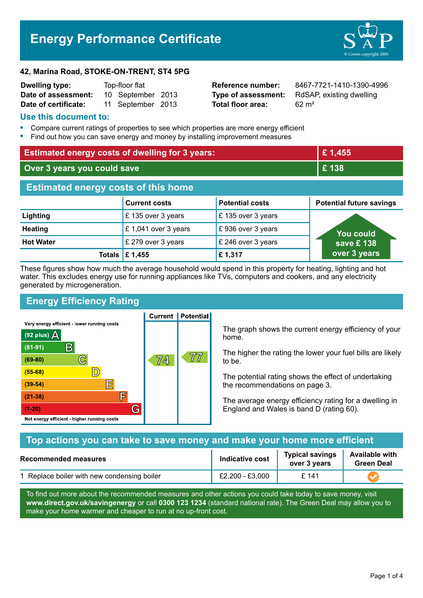# **Energy Performance Certificate**



#### **42, Marina Road, STOKE-ON-TRENT, ST4 5PG**

| <b>Dwelling type:</b> | Top-floor flat |                   |  |
|-----------------------|----------------|-------------------|--|
| Date of assessment:   |                | 10 September 2013 |  |
| Date of certificate:  |                | 11 September 2013 |  |

**Total floor area:** 62 m<sup>2</sup>

**Reference number:** 8467-7721-1410-1390-4996 **Type of assessment:** RdSAP, existing dwelling

### **Use this document to:**

- **•** Compare current ratings of properties to see which properties are more energy efficient
- **•** Find out how you can save energy and money by installing improvement measures

| <b>Estimated energy costs of dwelling for 3 years:</b> |                                 |                        | £1,455                          |  |
|--------------------------------------------------------|---------------------------------|------------------------|---------------------------------|--|
| Over 3 years you could save                            |                                 | £138                   |                                 |  |
| <b>Estimated energy costs of this home</b>             |                                 |                        |                                 |  |
|                                                        | <b>Current costs</b>            | <b>Potential costs</b> | <b>Potential future savings</b> |  |
| Lighting                                               | £135 over 3 years               | £135 over 3 years      |                                 |  |
| <b>Heating</b>                                         | £1,041 over 3 years             | £936 over 3 years      | <b>You could</b>                |  |
| <b>Hot Water</b>                                       | £ 279 over 3 years              | £ 246 over 3 years     | save £138                       |  |
|                                                        | Totals $\mathbf \epsilon$ 1,455 | £1,317                 | over 3 years                    |  |

These figures show how much the average household would spend in this property for heating, lighting and hot water. This excludes energy use for running appliances like TVs, computers and cookers, and any electricity generated by microgeneration.

# **Energy Efficiency Rating**

Very energy efficient - lower running costs



**Current | Potential** 

The graph shows the current energy efficiency of your home.

The higher the rating the lower your fuel bills are likely to be.

The potential rating shows the effect of undertaking the recommendations on page 3.

The average energy efficiency rating for a dwelling in England and Wales is band D (rating 60).

| Top actions you can take to save money and make your home more efficient <b>bu</b> |                        |                                        |                                            |
|------------------------------------------------------------------------------------|------------------------|----------------------------------------|--------------------------------------------|
| <b>Recommended measures</b>                                                        | <b>Indicative cost</b> | <b>Typical savings</b><br>over 3 years | <b>Available with</b><br><b>Green Deal</b> |
| 1 Replace boiler with new condensing boiler                                        | £2,200 - £3,000        | £141                                   |                                            |

To find out more about the recommended measures and other actions you could take today to save money, visit **www.direct.gov.uk/savingenergy** or call **0300 123 1234** (standard national rate). The Green Deal may allow you to make your home warmer and cheaper to run at no up-front cost.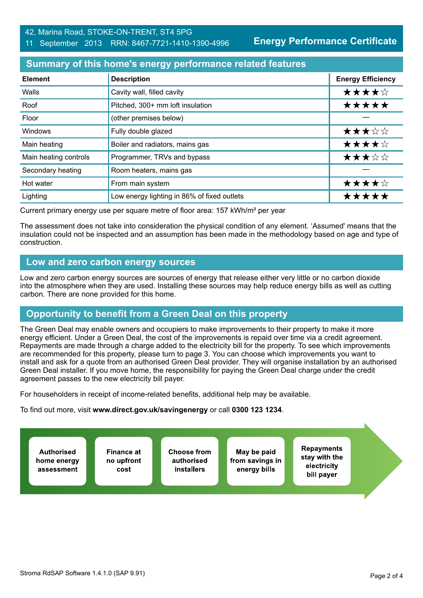#### 42, Marina Road, STOKE-ON-TRENT, ST4 5PG

#### 11 September 2013 RRN: 8467-7721-1410-1390-4996

**Energy Performance Certificate**

### **Summary of this home's energy performance related features**

| <b>Element</b>        | <b>Description</b>                          | <b>Energy Efficiency</b> |
|-----------------------|---------------------------------------------|--------------------------|
| Walls                 | Cavity wall, filled cavity                  | ★★★★☆                    |
| Roof                  | Pitched, 300+ mm loft insulation            | *****                    |
| Floor                 | (other premises below)                      |                          |
| Windows               | Fully double glazed                         | ★★★☆☆                    |
| Main heating          | Boiler and radiators, mains gas             | ★★★★☆                    |
| Main heating controls | Programmer, TRVs and bypass                 | ★★★☆☆                    |
| Secondary heating     | Room heaters, mains gas                     |                          |
| Hot water             | From main system                            | ★★★★☆                    |
| Lighting              | Low energy lighting in 86% of fixed outlets | ★★★★★                    |

Current primary energy use per square metre of floor area: 157 kWh/m² per year

The assessment does not take into consideration the physical condition of any element. 'Assumed' means that the insulation could not be inspected and an assumption has been made in the methodology based on age and type of construction.

### **Low and zero carbon energy sources**

Low and zero carbon energy sources are sources of energy that release either very little or no carbon dioxide into the atmosphere when they are used. Installing these sources may help reduce energy bills as well as cutting carbon. There are none provided for this home.

# **Opportunity to benefit from a Green Deal on this property**

The Green Deal may enable owners and occupiers to make improvements to their property to make it more energy efficient. Under a Green Deal, the cost of the improvements is repaid over time via a credit agreement. Repayments are made through a charge added to the electricity bill for the property. To see which improvements are recommended for this property, please turn to page 3. You can choose which improvements you want to install and ask for a quote from an authorised Green Deal provider. They will organise installation by an authorised Green Deal installer. If you move home, the responsibility for paying the Green Deal charge under the credit agreement passes to the new electricity bill payer.

For householders in receipt of income-related benefits, additional help may be available.

To find out more, visit **www.direct.gov.uk/savingenergy** or call **0300 123 1234**.

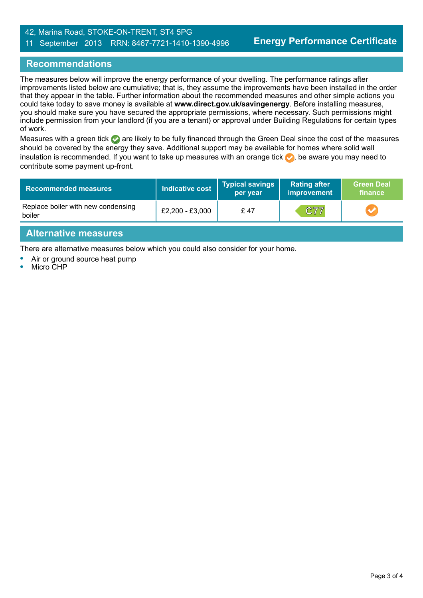### 42, Marina Road, STOKE-ON-TRENT, ST4 5PG

#### 11 September 2013 RRN: 8467-7721-1410-1390-4996

### **Recommendations**

The measures below will improve the energy performance of your dwelling. The performance ratings after improvements listed below are cumulative; that is, they assume the improvements have been installed in the order that they appear in the table. Further information about the recommended measures and other simple actions you could take today to save money is available at **www.direct.gov.uk/savingenergy**. Before installing measures, you should make sure you have secured the appropriate permissions, where necessary. Such permissions might include permission from your landlord (if you are a tenant) or approval under Building Regulations for certain types of work.

Measures with a green tick are likely to be fully financed through the Green Deal since the cost of the measures should be covered by the energy they save. Additional support may be available for homes where solid wall insulation is recommended. If you want to take up measures with an orange tick  $\bullet$ , be aware you may need to contribute some payment up-front.

| Recommended measures                         | Indicative cost | Typical savings<br>per year | <b>Rating after</b><br>improvement | Green Deal<br>finance |
|----------------------------------------------|-----------------|-----------------------------|------------------------------------|-----------------------|
| Replace boiler with new condensing<br>boiler | £2,200 - £3,000 | £ 47                        | c77                                |                       |
| Alternative measures                         |                 |                             |                                    |                       |

There are alternative measures below which you could also consider for your home.

- **•** Air or ground source heat pump
- **•** Micro CHP